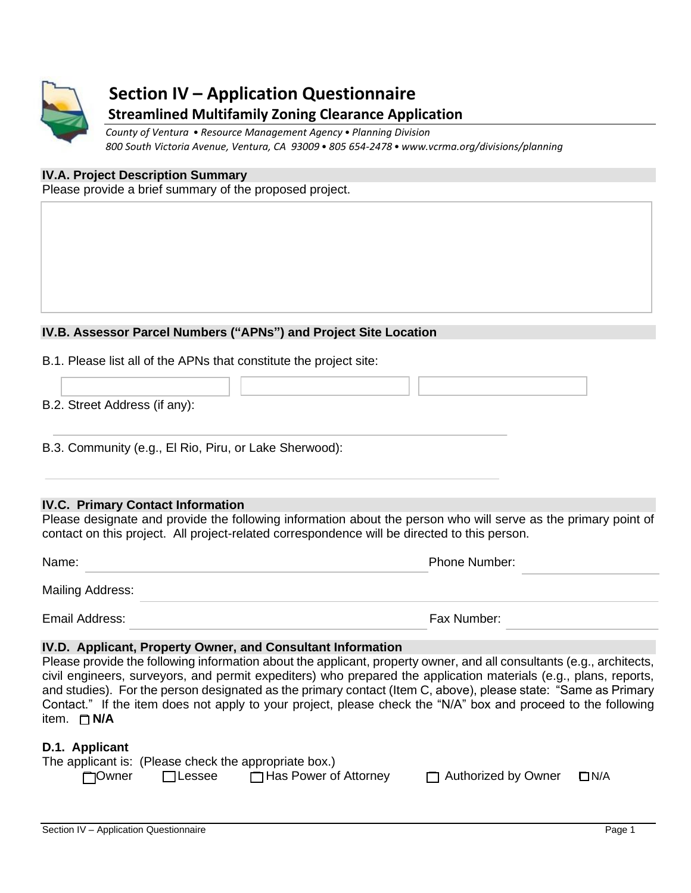

# **Section IV – Application Questionnaire Streamlined Multifamily Zoning Clearance Application**

*County of Ventura • Resource Management Agency• Planning Division 800 South Victoria Avenue, Ventura, CA 93009• 805 654-2478• www.vcrma.org/divisions/planning*

#### **IV.A. Project Description Summary**

Please provide a brief summary of the proposed project.

#### **IV.B. Assessor Parcel Numbers ("APNs") and Project Site Location**

B.1. Please list all of the APNs that constitute the project site:

B.2. Street Address (if any):

B.3. Community (e.g., El Rio, Piru, or Lake Sherwood):

#### **IV.C. Primary Contact Information**

Please designate and provide the following information about the person who will serve as the primary point of contact on this project. All project-related correspondence will be directed to this person.

| Name:            | <b>Phone Number:</b> |
|------------------|----------------------|
| Mailing Address: |                      |
| Email Address:   | Fax Number:          |

#### **IV.D. Applicant, Property Owner, and Consultant Information**

Please provide the following information about the applicant, property owner, and all consultants (e.g., architects, civil engineers, surveyors, and permit expediters) who prepared the application materials (e.g., plans, reports, and studies). For the person designated as the primary contact (Item C, above), please state: "Same as Primary Contact." If the item does not apply to your project, please check the "N/A" box and proceed to the following item. ❑ **N/A**

#### **D.1. Applicant**

|         |               | The applicant is: (Please check the appropriate box.) |                            |            |
|---------|---------------|-------------------------------------------------------|----------------------------|------------|
| □ Owner | $\Box$ Lessee | $\Box$ Has Power of Attorney                          | $\Box$ Authorized by Owner | $\Box N/A$ |
|         |               |                                                       |                            |            |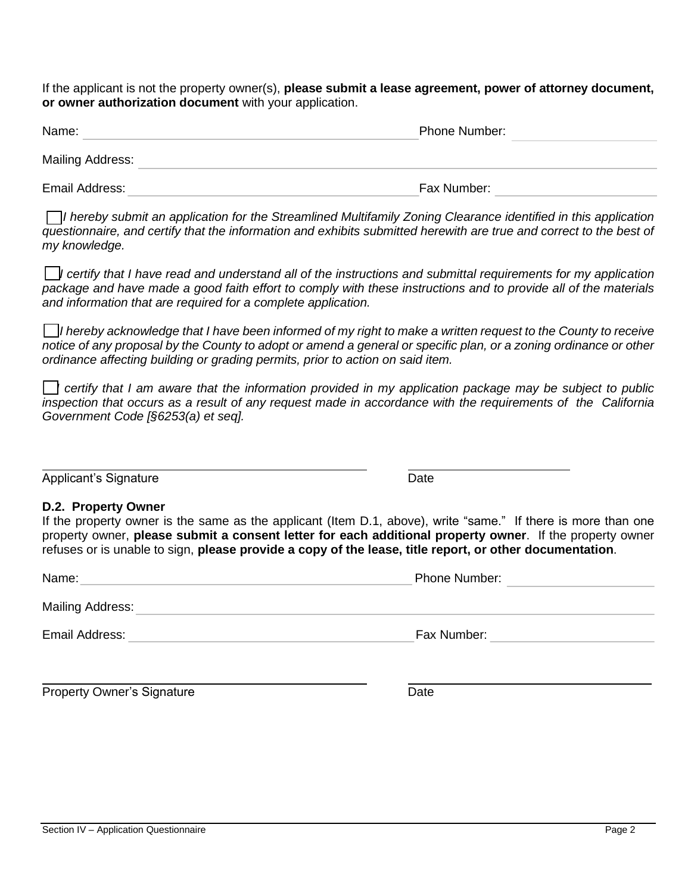If the applicant is not the property owner(s), **please submit a lease agreement, power of attorney document, or owner authorization document** with your application.

| Name:                   | Phone Number: |
|-------------------------|---------------|
| <b>Mailing Address:</b> |               |
| Email Address:          | Fax Number:   |

 *I hereby submit an application for the Streamlined Multifamily Zoning Clearance identified in this application questionnaire, and certify that the information and exhibits submitted herewith are true and correct to the best of my knowledge.* 

 *I certify that I have read and understand all of the instructions and submittal requirements for my application package and have made a good faith effort to comply with these instructions and to provide all of the materials and information that are required for a complete application.*

 *I hereby acknowledge that I have been informed of my right to make a written request to the County to receive notice of any proposal by the County to adopt or amend a general or specific plan, or a zoning ordinance or other ordinance affecting building or grading permits, prior to action on said item.*

 *I certify that I am aware that the information provided in my application package may be subject to public inspection that occurs as a result of any request made in accordance with the requirements of the California Government Code [§6253(a) et seq].*

Applicant's Signature Date

#### **D.2. Property Owner**

If the property owner is the same as the applicant (Item D.1, above), write "same." If there is more than one property owner, **please submit a consent letter for each additional property owner**. If the property owner refuses or is unable to sign, **please provide a copy of the lease, title report, or other documentation**.

| Name:                   | Phone Number: |
|-------------------------|---------------|
| <b>Mailing Address:</b> |               |
| Email Address:          | Fax Number:   |

| <b>Property Owner's Signature</b> | Date |
|-----------------------------------|------|
|                                   |      |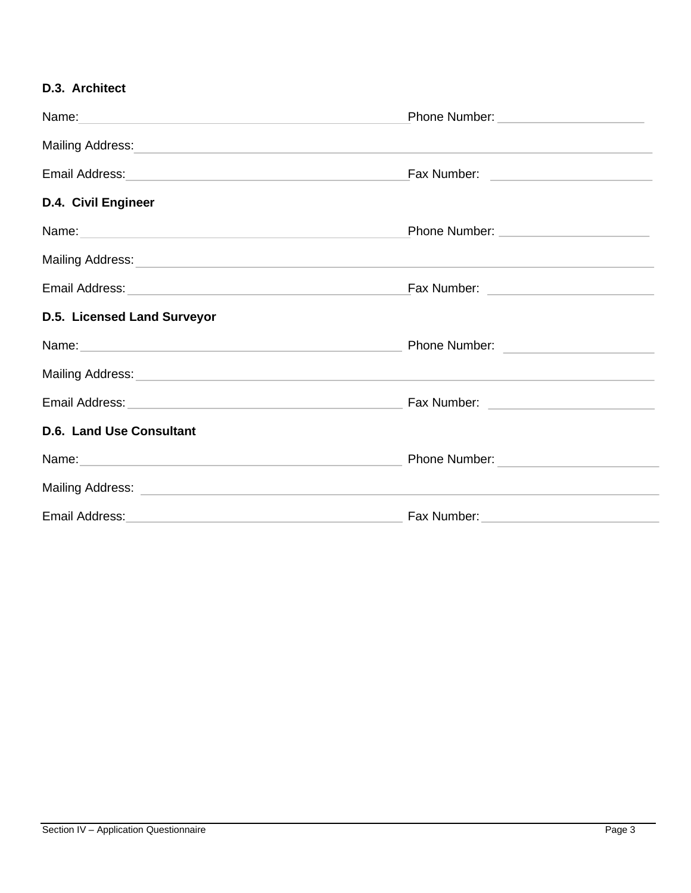## **D.3. Architect**

| Name: 2008 2010 2020 2021 2022 2023 2024 2022 2022 2023 2024 2022 2023 2024 2022 2023 2024 2022 2023 2024 2022 | Phone Number: ________________________ |
|----------------------------------------------------------------------------------------------------------------|----------------------------------------|
| Mailing Address: Mailing Address: Mail and Mail and Mail and Mail and Mail and Mail and Mail and Mail and Mail |                                        |
|                                                                                                                |                                        |
| D.4. Civil Engineer                                                                                            |                                        |
|                                                                                                                |                                        |
|                                                                                                                |                                        |
|                                                                                                                |                                        |
| D.5. Licensed Land Surveyor                                                                                    |                                        |
|                                                                                                                | Phone Number:                          |
|                                                                                                                |                                        |
|                                                                                                                |                                        |
| <b>D.6. Land Use Consultant</b>                                                                                |                                        |
|                                                                                                                |                                        |
|                                                                                                                |                                        |
| Email Address:<br><u> 1980 - Johann Barbara, martxa alemaniar arg</u>                                          |                                        |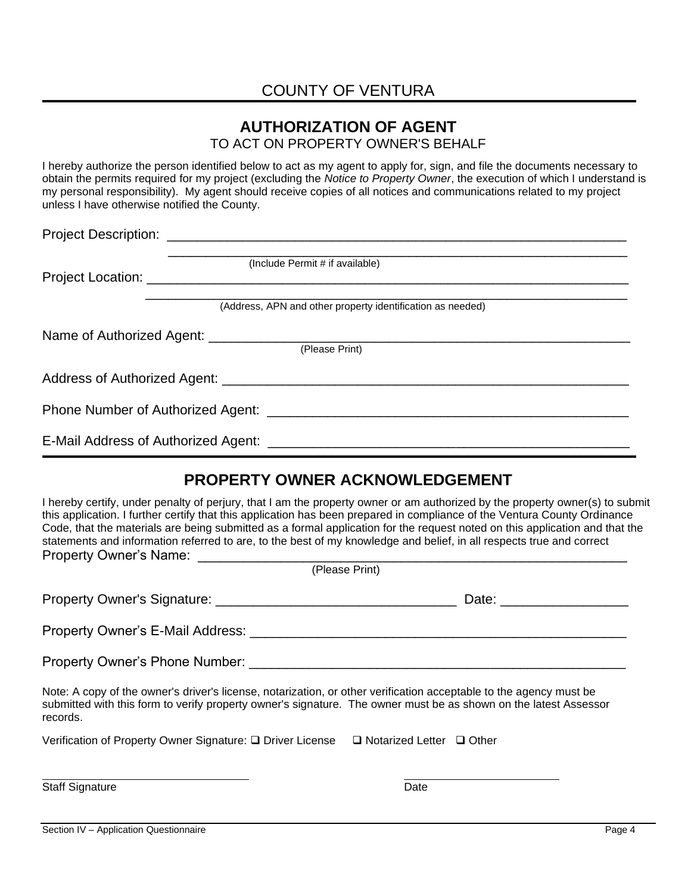## **AUTHORIZATION OF AGENT**

TO ACT ON PROPERTY OWNER'S BEHALF

I hereby authorize the person identified below to act as my agent to apply for, sign, and file the documents necessary to obtain the permits required for my project (excluding the *Notice to Property Owner*, the execution of which I understand is my personal responsibility). My agent should receive copies of all notices and communications related to my project unless I have otherwise notified the County.

| (Include Permit # if available)                            |  |
|------------------------------------------------------------|--|
| (Address, APN and other property identification as needed) |  |
|                                                            |  |
| (Please Print)                                             |  |
|                                                            |  |
|                                                            |  |
|                                                            |  |
|                                                            |  |

## **PROPERTY OWNER ACKNOWLEDGEMENT**

I hereby certify, under penalty of perjury, that I am the property owner or am authorized by the property owner(s) to submit this application. I further certify that this application has been prepared in compliance of the Ventura County Ordinance Code, that the materials are being submitted as a formal application for the request noted on this application and that the statements and information referred to are, to the best of my knowledge and belief, in all respects true and correct Property Owner's Name:

|                                                                                                                                                                                                                                                    | (Please Print) |
|----------------------------------------------------------------------------------------------------------------------------------------------------------------------------------------------------------------------------------------------------|----------------|
|                                                                                                                                                                                                                                                    |                |
| Property Owner's E-Mail Address:                                                                                                                                                                                                                   |                |
|                                                                                                                                                                                                                                                    |                |
| Note: A copy of the owner's driver's license, notarization, or other verification acceptable to the agency must be<br>submitted with this form to verify property owner's signature. The owner must be as shown on the latest Assessor<br>records. |                |
| Verification of Property Owner Signature: $\square$ Driver License $\square$ Notarized Letter $\square$ Other                                                                                                                                      |                |
| <b>Staff Signature</b>                                                                                                                                                                                                                             | Date           |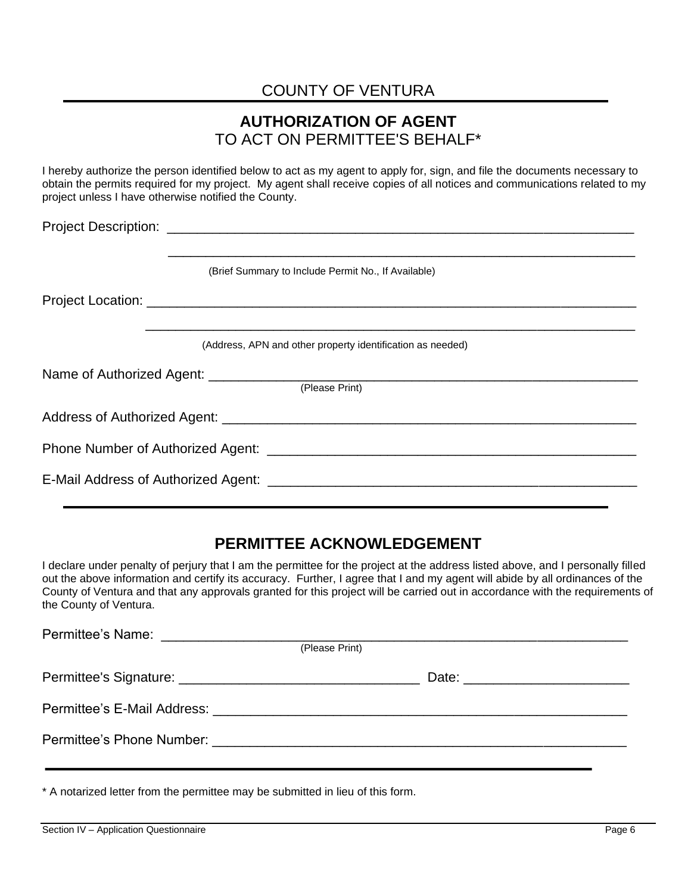## COUNTY OF VENTURA

## **AUTHORIZATION OF AGENT** TO ACT ON PERMITTEE'S BEHALF\*

I hereby authorize the person identified below to act as my agent to apply for, sign, and file the documents necessary to obtain the permits required for my project. My agent shall receive copies of all notices and communications related to my project unless I have otherwise notified the County.

\_\_\_\_\_\_\_\_\_\_\_\_\_\_\_\_\_\_\_\_\_\_\_\_\_\_\_\_\_\_\_\_\_\_\_\_\_\_\_\_\_\_\_\_\_\_\_\_\_\_\_\_\_\_\_\_\_\_\_\_\_\_

Project Description: \_\_\_\_\_\_\_\_\_\_\_\_\_\_\_\_\_\_\_\_\_\_\_\_\_\_\_\_\_\_\_\_\_\_\_\_\_\_\_\_\_\_\_\_\_\_\_\_\_\_\_\_\_\_\_\_\_\_\_\_\_\_

(Brief Summary to Include Permit No., If Available)

Project Location: \_\_\_\_\_\_\_\_\_\_\_\_\_\_\_\_\_\_\_\_\_\_\_\_\_\_\_\_\_\_\_\_\_\_\_\_\_\_\_\_\_\_\_\_\_\_\_\_\_\_\_\_\_\_\_\_\_\_\_\_\_\_\_\_\_

(Address, APN and other property identification as needed)

\_\_\_\_\_\_\_\_\_\_\_\_\_\_\_\_\_\_\_\_\_\_\_\_\_\_\_\_\_\_\_\_\_\_\_\_\_\_\_\_\_\_\_\_\_\_\_\_\_\_\_\_\_\_\_\_\_\_\_\_\_\_\_\_\_

Name of Authorized Agent: \_\_\_\_\_\_\_\_\_\_\_\_\_\_\_\_\_\_\_\_\_\_\_\_\_\_\_\_\_\_\_\_\_\_\_\_\_\_\_\_\_\_\_\_\_\_\_\_\_\_\_\_\_\_\_\_\_

(Please Print)

| Address of Authorized Agent:      |  |
|-----------------------------------|--|
| Phone Number of Authorized Agent: |  |

E-Mail Address of Authorized Agent: \_\_\_\_\_\_\_\_\_\_\_\_\_\_\_\_\_\_\_\_\_\_\_\_\_\_\_\_\_\_\_\_\_\_\_\_\_\_\_\_\_\_\_\_\_\_\_\_\_

## **PERMITTEE ACKNOWLEDGEMENT**

I declare under penalty of perjury that I am the permittee for the project at the address listed above, and I personally filled out the above information and certify its accuracy. Further, I agree that I and my agent will abide by all ordinances of the County of Ventura and that any approvals granted for this project will be carried out in accordance with the requirements of the County of Ventura.

| Permittee's Name: <u>________________________</u> | (Please Print) |  |
|---------------------------------------------------|----------------|--|
|                                                   |                |  |
|                                                   |                |  |
|                                                   |                |  |
|                                                   |                |  |

\* A notarized letter from the permittee may be submitted in lieu of this form.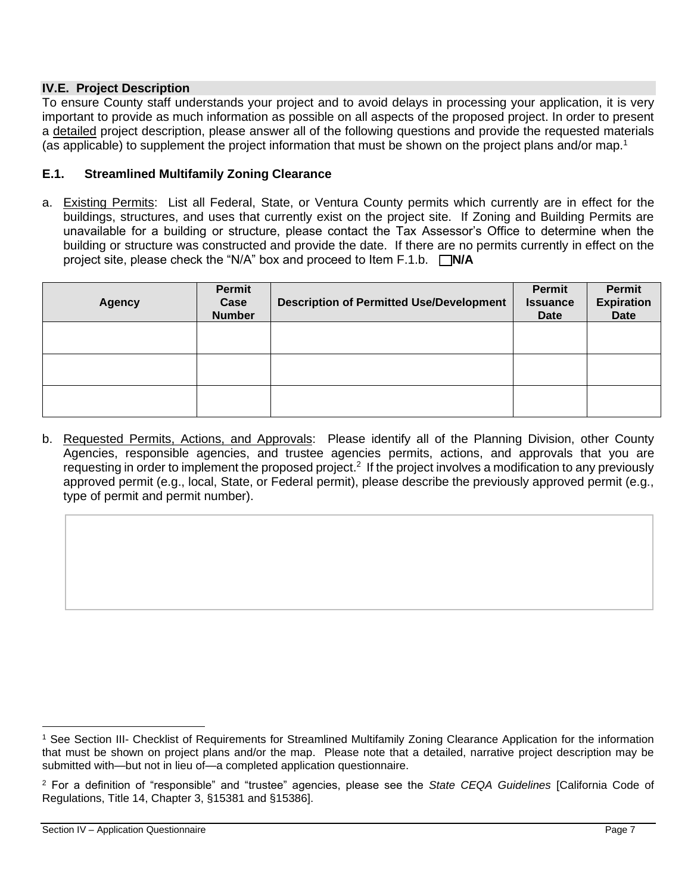### **IV.E. Project Description**

To ensure County staff understands your project and to avoid delays in processing your application, it is very important to provide as much information as possible on all aspects of the proposed project. In order to present a detailed project description, please answer all of the following questions and provide the requested materials (as applicable) to supplement the project information that must be shown on the project plans and/or map.<sup>1</sup>

### **E.1. Streamlined Multifamily Zoning Clearance**

a. Existing Permits: List all Federal, State, or Ventura County permits which currently are in effect for the buildings, structures, and uses that currently exist on the project site. If Zoning and Building Permits are unavailable for a building or structure, please contact the Tax Assessor's Office to determine when the building or structure was constructed and provide the date. If there are no permits currently in effect on the project site, please check the "N/A" box and proceed to Item F.1.b. □**N/A** 

| <b>Agency</b> | Permit<br>Case<br><b>Number</b> | <b>Description of Permitted Use/Development</b> | <b>Permit</b><br><b>Issuance</b><br><b>Date</b> | Permit<br><b>Expiration</b><br><b>Date</b> |
|---------------|---------------------------------|-------------------------------------------------|-------------------------------------------------|--------------------------------------------|
|               |                                 |                                                 |                                                 |                                            |
|               |                                 |                                                 |                                                 |                                            |
|               |                                 |                                                 |                                                 |                                            |

b. Requested Permits, Actions, and Approvals: Please identify all of the Planning Division, other County Agencies, responsible agencies, and trustee agencies permits, actions, and approvals that you are requesting in order to implement the proposed project.<sup>2</sup> If the project involves a modification to any previously approved permit (e.g., local, State, or Federal permit), please describe the previously approved permit (e.g., type of permit and permit number).

<sup>1</sup> See Section III- Checklist of Requirements for Streamlined Multifamily Zoning Clearance Application for the information that must be shown on project plans and/or the map. Please note that a detailed, narrative project description may be submitted with—but not in lieu of—a completed application questionnaire.

<sup>2</sup> For a definition of "responsible" and "trustee" agencies, please see the *State CEQA Guidelines* [California Code of Regulations, Title 14, Chapter 3, §15381 and §15386].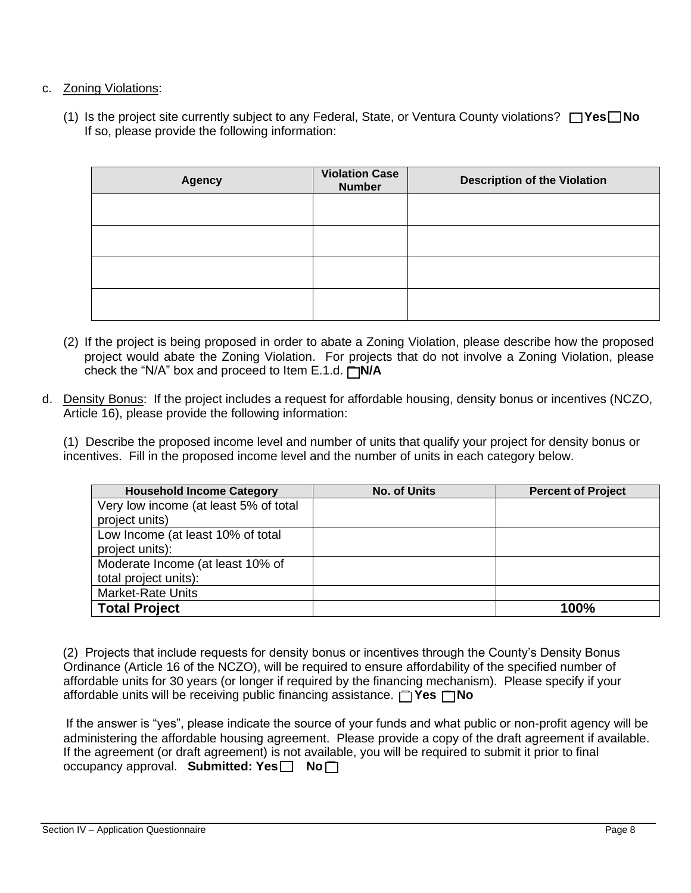### c. Zoning Violations:

(1) Is the project site currently subject to any Federal, State, or Ventura County violations? ❑ **Yes** ❑ **No** If so, please provide the following information:

| <b>Agency</b> | <b>Violation Case</b><br><b>Number</b> | <b>Description of the Violation</b> |
|---------------|----------------------------------------|-------------------------------------|
|               |                                        |                                     |
|               |                                        |                                     |
|               |                                        |                                     |
|               |                                        |                                     |

- (2) If the project is being proposed in order to abate a Zoning Violation, please describe how the proposed project would abate the Zoning Violation. For projects that do not involve a Zoning Violation, please check the "N/A" box and proceed to Item  $E.1.d. \Box N/A$
- d. Density Bonus: If the project includes a request for affordable housing, density bonus or incentives (NCZO, Article 16), please provide the following information:

(1) Describe the proposed income level and number of units that qualify your project for density bonus or incentives. Fill in the proposed income level and the number of units in each category below.

| <b>Household Income Category</b>      | <b>No. of Units</b> | <b>Percent of Project</b> |
|---------------------------------------|---------------------|---------------------------|
| Very low income (at least 5% of total |                     |                           |
| project units)                        |                     |                           |
| Low Income (at least 10% of total     |                     |                           |
| project units):                       |                     |                           |
| Moderate Income (at least 10% of      |                     |                           |
| total project units):                 |                     |                           |
| <b>Market-Rate Units</b>              |                     |                           |
| <b>Total Project</b>                  |                     | 100%                      |

 (2) Projects that include requests for density bonus or incentives through the County's Density Bonus Ordinance (Article 16 of the NCZO), will be required to ensure affordability of the specified number of affordable units for 30 years (or longer if required by the financing mechanism). Please specify if your affordable units will be receiving public financing assistance. ❑ **Yes** ❑ **No**

If the answer is "yes", please indicate the source of your funds and what public or non-profit agency will be administering the affordable housing agreement. Please provide a copy of the draft agreement if available. If the agreement (or draft agreement) is not available, you will be required to submit it prior to final occupancy approval. **Submitted: Yes** ❑ **No** ❑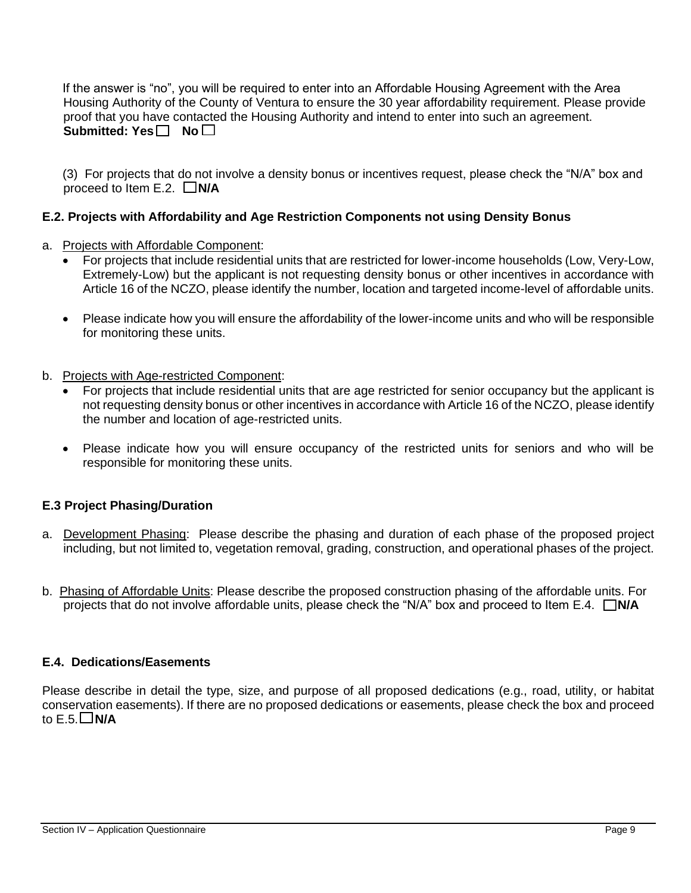If the answer is "no", you will be required to enter into an Affordable Housing Agreement with the Area Housing Authority of the County of Ventura to ensure the 30 year affordability requirement. Please provide proof that you have contacted the Housing Authority and intend to enter into such an agreement. **Submitted: Yes** ❑ **No** ❑

(3) For projects that do not involve a density bonus or incentives request, please check the "N/A" box and proceed to Item E.2. ❑ **N/A**

### **E.2. Projects with Affordability and Age Restriction Components not using Density Bonus**

- a. Projects with Affordable Component:
	- For projects that include residential units that are restricted for lower-income households (Low, Very-Low, Extremely-Low) but the applicant is not requesting density bonus or other incentives in accordance with Article 16 of the NCZO, please identify the number, location and targeted income-level of affordable units.
	- Please indicate how you will ensure the affordability of the lower-income units and who will be responsible for monitoring these units.
- b. Projects with Age-restricted Component:
	- For projects that include residential units that are age restricted for senior occupancy but the applicant is not requesting density bonus or other incentives in accordance with Article 16 of the NCZO, please identify the number and location of age-restricted units.
	- Please indicate how you will ensure occupancy of the restricted units for seniors and who will be responsible for monitoring these units.

#### **E.3 Project Phasing/Duration**

- a. Development Phasing: Please describe the phasing and duration of each phase of the proposed project including, but not limited to, vegetation removal, grading, construction, and operational phases of the project.
- b. Phasing of Affordable Units: Please describe the proposed construction phasing of the affordable units. For projects that do not involve affordable units, please check the "N/A" box and proceed to Item E.4. ❑ **N/A**

#### **E.4. Dedications/Easements**

Please describe in detail the type, size, and purpose of all proposed dedications (e.g., road, utility, or habitat conservation easements). If there are no proposed dedications or easements, please check the box and proceed to E.5. ❑ **N/A**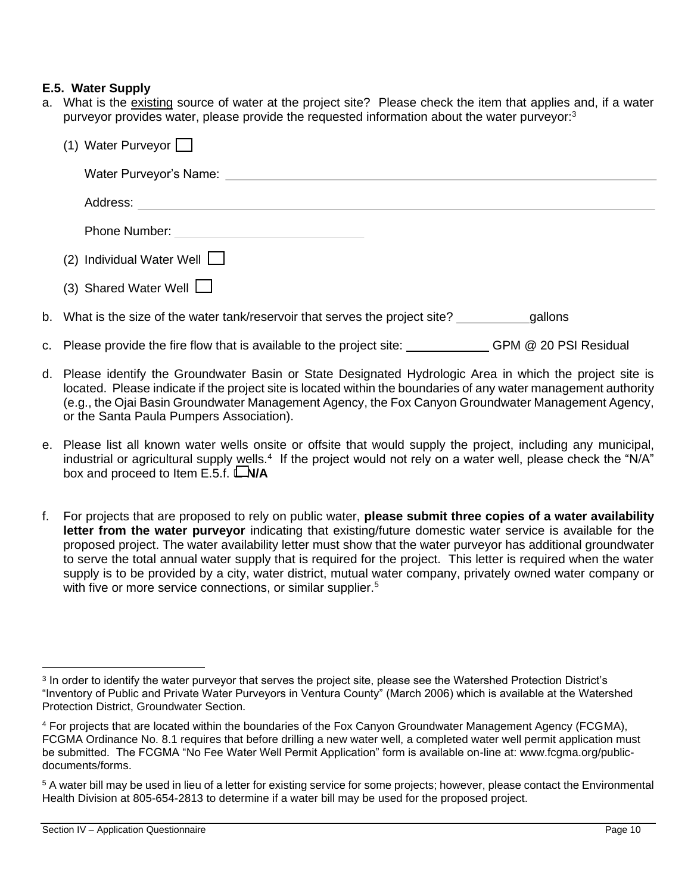#### **E.5. Water Supply**

a. What is the existing source of water at the project site? Please check the item that applies and, if a water purveyor provides water, please provide the requested information about the water purveyor: $3$ 

| (1) Water Purveyor $\Box$                                                                                                                                                                                                            |
|--------------------------------------------------------------------------------------------------------------------------------------------------------------------------------------------------------------------------------------|
|                                                                                                                                                                                                                                      |
| Address:                                                                                                                                                                                                                             |
| Phone Number: <u>Alexander School and Theory and Theory and Theory and Theory and Theory and Theory and Theory and Theory and Theory and Theory and Theory and Theory and Theory and Theory and Theory and Theory and Theory and</u> |
| (2) Individual Water Well $\Box$                                                                                                                                                                                                     |
| $(3)$ Shared Water Well $\Box$                                                                                                                                                                                                       |
| b. What is the size of the water tank/reservoir that serves the project site?<br>gallons                                                                                                                                             |
| GPM @ 20 PSI Residual<br>c. Please provide the fire flow that is available to the project site:                                                                                                                                      |

- d. Please identify the Groundwater Basin or State Designated Hydrologic Area in which the project site is located. Please indicate if the project site is located within the boundaries of any water management authority (e.g., the Ojai Basin Groundwater Management Agency, the Fox Canyon Groundwater Management Agency, or the Santa Paula Pumpers Association).
- e. Please list all known water wells onsite or offsite that would supply the project, including any municipal, industrial or agricultural supply wells.<sup>4</sup> If the project would not rely on a water well, please check the "N/A" box and proceed to Item E.5.f. ❑ **N/A**
- f. For projects that are proposed to rely on public water, **please submit three copies of a water availability letter from the water purveyor** indicating that existing/future domestic water service is available for the proposed project. The water availability letter must show that the water purveyor has additional groundwater to serve the total annual water supply that is required for the project. This letter is required when the water supply is to be provided by a city, water district, mutual water company, privately owned water company or with five or more service connections, or similar supplier.<sup>5</sup>

<sup>3</sup> In order to identify the water purveyor that serves the project site, please see the Watershed Protection District's "Inventory of Public and Private Water Purveyors in Ventura County" (March 2006) which is available at the Watershed Protection District, Groundwater Section.

<sup>4</sup> For projects that are located within the boundaries of the Fox Canyon Groundwater Management Agency (FCGMA), FCGMA Ordinance No. 8.1 requires that before drilling a new water well, a completed water well permit application must be submitted. The FCGMA "No Fee Water Well Permit Application" form is available on-line at: www.fcgma.org/publicdocuments/forms.

<sup>5</sup> A water bill may be used in lieu of a letter for existing service for some projects; however, please contact the Environmental Health Division at 805-654-2813 to determine if a water bill may be used for the proposed project.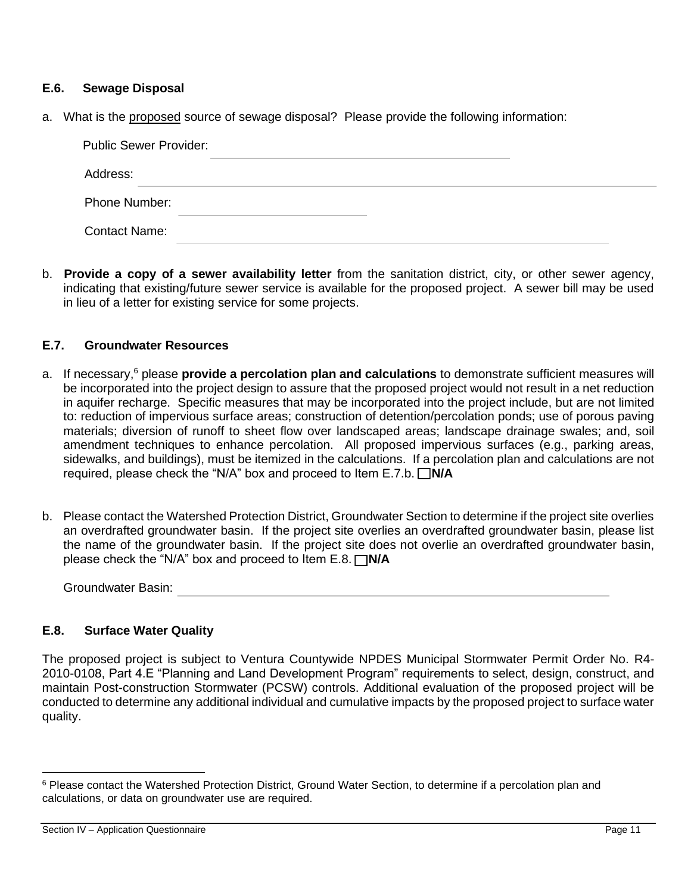#### **E.6. Sewage Disposal**

a. What is the proposed source of sewage disposal? Please provide the following information:

| <b>Public Sewer Provider:</b> |  |
|-------------------------------|--|
| Address:                      |  |
| <b>Phone Number:</b>          |  |
| <b>Contact Name:</b>          |  |

b. **Provide a copy of a sewer availability letter** from the sanitation district, city, or other sewer agency, indicating that existing/future sewer service is available for the proposed project. A sewer bill may be used in lieu of a letter for existing service for some projects.

#### **E.7. Groundwater Resources**

- a. If necessary,<sup>6</sup> please **provide a percolation plan and calculations** to demonstrate sufficient measures will be incorporated into the project design to assure that the proposed project would not result in a net reduction in aquifer recharge. Specific measures that may be incorporated into the project include, but are not limited to: reduction of impervious surface areas; construction of detention/percolation ponds; use of porous paving materials; diversion of runoff to sheet flow over landscaped areas; landscape drainage swales; and, soil amendment techniques to enhance percolation. All proposed impervious surfaces (e.g., parking areas, sidewalks, and buildings), must be itemized in the calculations. If a percolation plan and calculations are not required, please check the "N/A" box and proceed to Item E.7.b. ❑ **N/A**
- b. Please contact the Watershed Protection District, Groundwater Section to determine if the project site overlies an overdrafted groundwater basin. If the project site overlies an overdrafted groundwater basin, please list the name of the groundwater basin. If the project site does not overlie an overdrafted groundwater basin, please check the "N/A" box and proceed to Item E.8. **□N/A**

Groundwater Basin:

#### **E.8. Surface Water Quality**

The proposed project is subject to Ventura Countywide NPDES Municipal Stormwater Permit Order No. R4- 2010-0108, Part 4.E "Planning and Land Development Program" requirements to select, design, construct, and maintain Post-construction Stormwater (PCSW) controls. Additional evaluation of the proposed project will be conducted to determine any additional individual and cumulative impacts by the proposed project to surface water quality.

<sup>&</sup>lt;sup>6</sup> Please contact the Watershed Protection District, Ground Water Section, to determine if a percolation plan and calculations, or data on groundwater use are required.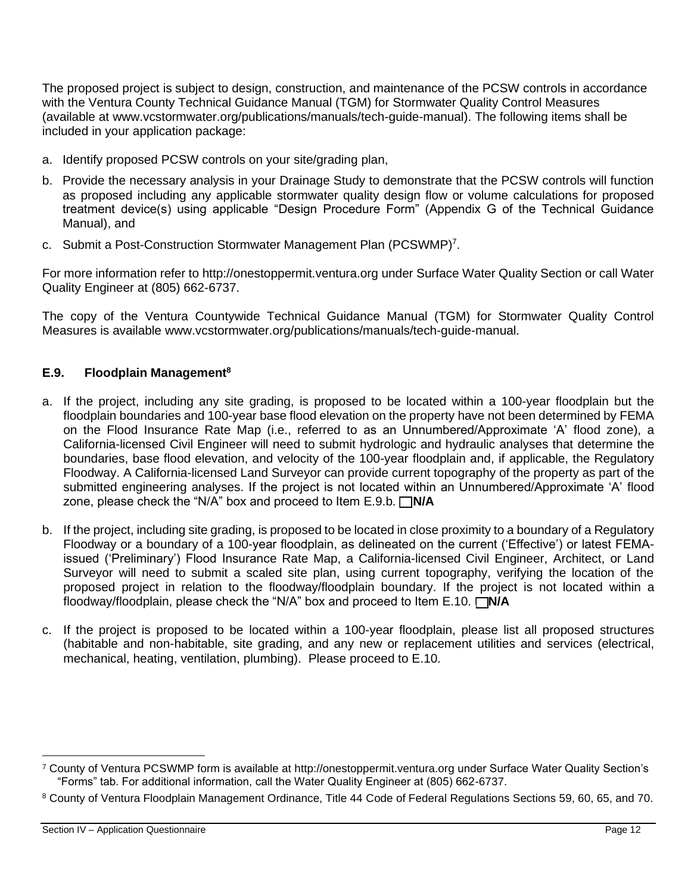The proposed project is subject to design, construction, and maintenance of the PCSW controls in accordance with the Ventura County Technical Guidance Manual (TGM) for Stormwater Quality Control Measures (available at www.vcstormwater.org/publications/manuals/tech-guide-manual). The following items shall be included in your application package:

- a. Identify proposed PCSW controls on your site/grading plan,
- b. Provide the necessary analysis in your Drainage Study to demonstrate that the PCSW controls will function as proposed including any applicable stormwater quality design flow or volume calculations for proposed treatment device(s) using applicable "Design Procedure Form" (Appendix G of the Technical Guidance Manual), and
- c. Submit a Post-Construction Stormwater Management Plan (PCSWMP)<sup>7</sup>.

For more information refer to http:/[/onestoppermit.ventura.org](http://www.onestoppermit.ventura.org/) under Surface Water Quality Section or call Water Quality Engineer at (805) 662-6737.

The copy of the Ventura Countywide Technical Guidance Manual (TGM) for Stormwater Quality Control Measures is available www.vcstormwater.org/publications/manuals/tech-guide-manual.

### **E.9. Floodplain Management<sup>8</sup>**

- a. If the project, including any site grading, is proposed to be located within a 100-year floodplain but the floodplain boundaries and 100-year base flood elevation on the property have not been determined by FEMA on the Flood Insurance Rate Map (i.e., referred to as an Unnumbered/Approximate 'A' flood zone), a California-licensed Civil Engineer will need to submit hydrologic and hydraulic analyses that determine the boundaries, base flood elevation, and velocity of the 100-year floodplain and, if applicable, the Regulatory Floodway. A California-licensed Land Surveyor can provide current topography of the property as part of the submitted engineering analyses. If the project is not located within an Unnumbered/Approximate 'A' flood zone, please check the "N/A" box and proceed to Item E.9.b. ❑ **N/A**
- b. If the project, including site grading, is proposed to be located in close proximity to a boundary of a Regulatory Floodway or a boundary of a 100-year floodplain, as delineated on the current ('Effective') or latest FEMAissued ('Preliminary') Flood Insurance Rate Map, a California-licensed Civil Engineer, Architect, or Land Surveyor will need to submit a scaled site plan, using current topography, verifying the location of the proposed project in relation to the floodway/floodplain boundary. If the project is not located within a floodway/floodplain, please check the "N/A" box and proceed to Item E.10.  $\Box$ N/A
- c. If the project is proposed to be located within a 100-year floodplain, please list all proposed structures (habitable and non-habitable, site grading, and any new or replacement utilities and services (electrical, mechanical, heating, ventilation, plumbing). Please proceed to E.10.

<sup>7</sup> County of Ventura PCSWMP form is available at http://onestoppermit.ventura.org under Surface Water Quality Section's "Forms" tab. For additional information, call the Water Quality Engineer at (805) 662-6737.

<sup>8</sup> County of Ventura Floodplain Management Ordinance, Title 44 Code of Federal Regulations Sections 59, 60, 65, and 70.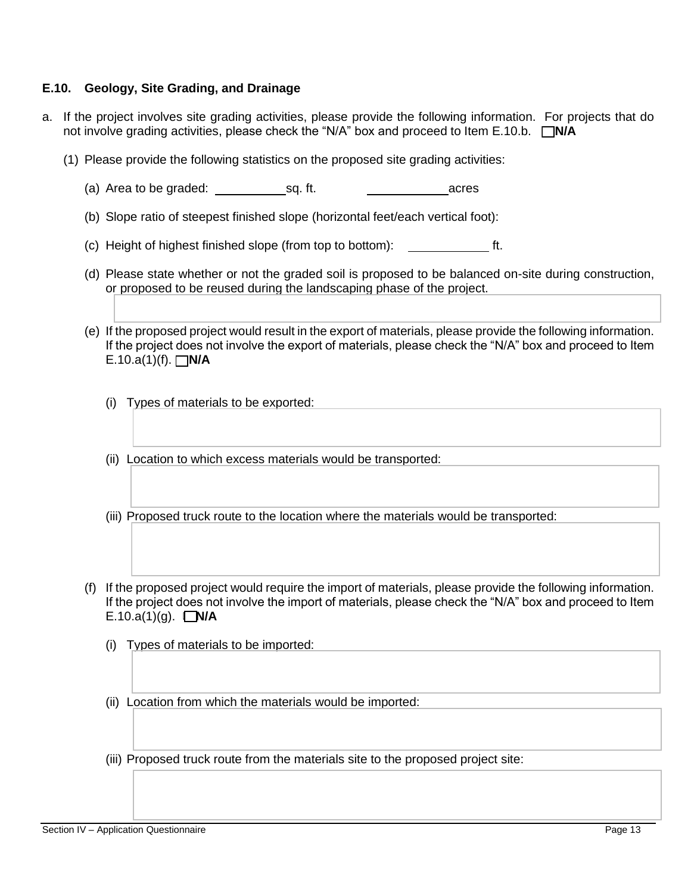#### **E.10. Geology, Site Grading, and Drainage**

- a. If the project involves site grading activities, please provide the following information. For projects that do not involve grading activities, please check the "N/A" box and proceed to Item E.10.b. □ **N/A** 
	- (1) Please provide the following statistics on the proposed site grading activities:
		- (a) Area to be graded:  $\frac{1}{\sqrt{1-\frac{1}{n}}}$  sq. ft.  $\frac{1}{\sqrt{1-\frac{1}{n}}}$  acres
		- (b) Slope ratio of steepest finished slope (horizontal feet/each vertical foot):
		- (c) Height of highest finished slope (from top to bottom): ft.
		- (d) Please state whether or not the graded soil is proposed to be balanced on-site during construction, or proposed to be reused during the landscaping phase of the project.
		- (e) If the proposed project would result in the export of materials, please provide the following information. If the project does not involve the export of materials, please check the "N/A" box and proceed to Item  $E.10.a(1)(f)$ .  $\Box$ **N/A** 
			- (i) Types of materials to be exported:
			- (ii) Location to which excess materials would be transported:
			- (iii) Proposed truck route to the location where the materials would be transported:
		- (f) If the proposed project would require the import of materials, please provide the following information. If the project does not involve the import of materials, please check the "N/A" box and proceed to Item E.10.a(1)(g). ❑ **N/A** 
			- (i) Types of materials to be imported:
			- (ii) Location from which the materials would be imported:
			- (iii) Proposed truck route from the materials site to the proposed project site: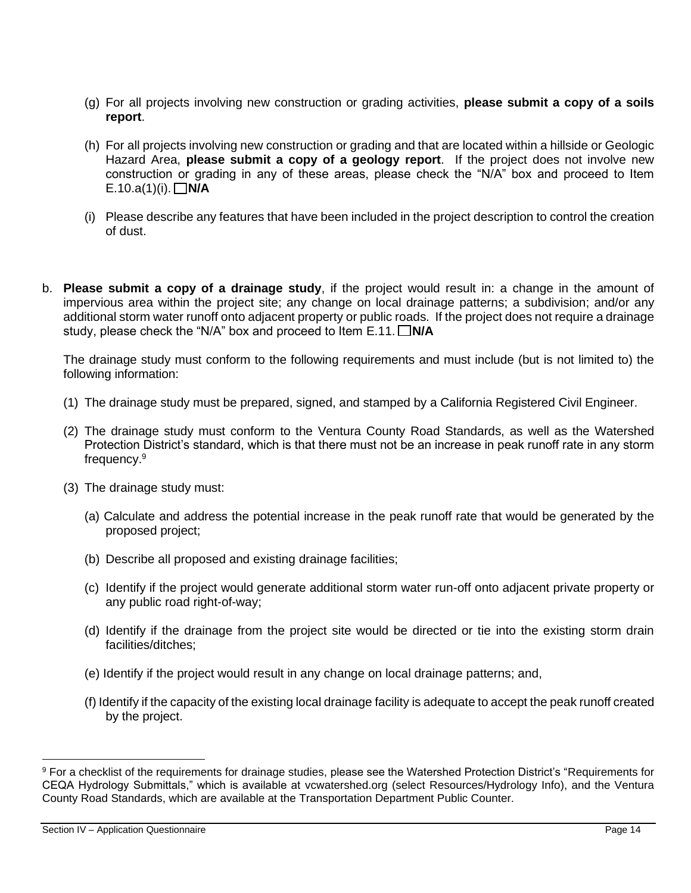- (g) For all projects involving new construction or grading activities, **please submit a copy of a soils report**.
- (h) For all projects involving new construction or grading and that are located within a hillside or Geologic Hazard Area, **please submit a copy of a geology report**. If the project does not involve new construction or grading in any of these areas, please check the "N/A" box and proceed to Item E.10.a(1)(i). ❑ **N/A**
- (i) Please describe any features that have been included in the project description to control the creation of dust.
- b. **Please submit a copy of a drainage study**, if the project would result in: a change in the amount of impervious area within the project site; any change on local drainage patterns; a subdivision; and/or any additional storm water runoff onto adjacent property or public roads. If the project does not require a drainage study, please check the "N/A" box and proceed to Item E.11. ❑ **N/A**

The drainage study must conform to the following requirements and must include (but is not limited to) the following information:

- (1) The drainage study must be prepared, signed, and stamped by a California Registered Civil Engineer.
- (2) The drainage study must conform to the Ventura County Road Standards, as well as the Watershed Protection District's standard, which is that there must not be an increase in peak runoff rate in any storm frequency.<sup>9</sup>
- (3) The drainage study must:
	- (a) Calculate and address the potential increase in the peak runoff rate that would be generated by the proposed project;
	- (b) Describe all proposed and existing drainage facilities;
	- (c) Identify if the project would generate additional storm water run-off onto adjacent private property or any public road right-of-way;
	- (d) Identify if the drainage from the project site would be directed or tie into the existing storm drain facilities/ditches;
	- (e) Identify if the project would result in any change on local drainage patterns; and,
	- (f) Identify if the capacity of the existing local drainage facility is adequate to accept the peak runoff created by the project.

<sup>9</sup> For a checklist of the requirements for drainage studies, please see the Watershed Protection District's "Requirements for CEQA Hydrology Submittals," which is available at vcwatershed.org (select Resources/Hydrology Info), and the Ventura County Road Standards, which are available at the Transportation Department Public Counter.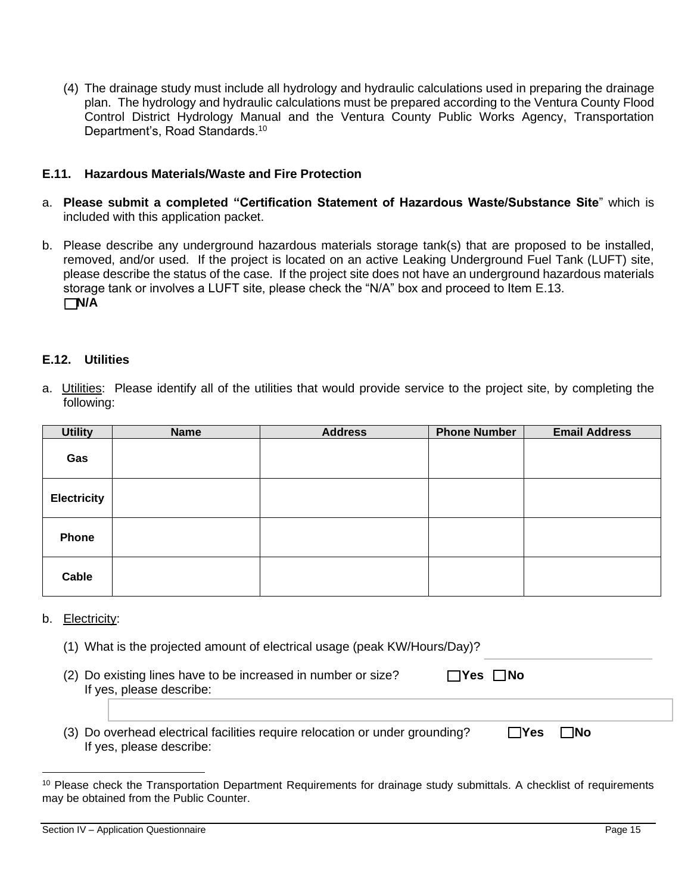(4) The drainage study must include all hydrology and hydraulic calculations used in preparing the drainage plan. The hydrology and hydraulic calculations must be prepared according to the Ventura County Flood Control District Hydrology Manual and the Ventura County Public Works Agency, Transportation Department's, Road Standards.<sup>10</sup>

#### **E.11. Hazardous Materials/Waste and Fire Protection**

- a. **Please submit a completed "Certification Statement of Hazardous Waste/Substance Site**" which is included with this application packet.
- b. Please describe any underground hazardous materials storage tank(s) that are proposed to be installed, removed, and/or used. If the project is located on an active Leaking Underground Fuel Tank (LUFT) site, please describe the status of the case. If the project site does not have an underground hazardous materials storage tank or involves a LUFT site, please check the "N/A" box and proceed to Item E.13. ❑ **N/A**

#### **E.12. Utilities**

a.Utilities: Please identify all of the utilities that would provide service to the project site, by completing the following:

| <b>Utility</b>     | <b>Name</b> | <b>Address</b> | <b>Phone Number</b> | <b>Email Address</b> |
|--------------------|-------------|----------------|---------------------|----------------------|
| Gas                |             |                |                     |                      |
| <b>Electricity</b> |             |                |                     |                      |
| <b>Phone</b>       |             |                |                     |                      |
| Cable              |             |                |                     |                      |

#### b. Electricity:

| (1) What is the projected amount of electrical usage (peak KW/Hours/Day)?                                |             |  |  |
|----------------------------------------------------------------------------------------------------------|-------------|--|--|
| Do existing lines have to be increased in number or size?<br>(2)<br>If yes, please describe:             | ΠYes I INo  |  |  |
|                                                                                                          |             |  |  |
| (3) Do overhead electrical facilities require relocation or under grounding?<br>If yes, please describe: | ⊟Yes<br>⊟No |  |  |

<sup>&</sup>lt;sup>10</sup> Please check the Transportation Department Requirements for drainage study submittals. A checklist of requirements may be obtained from the Public Counter.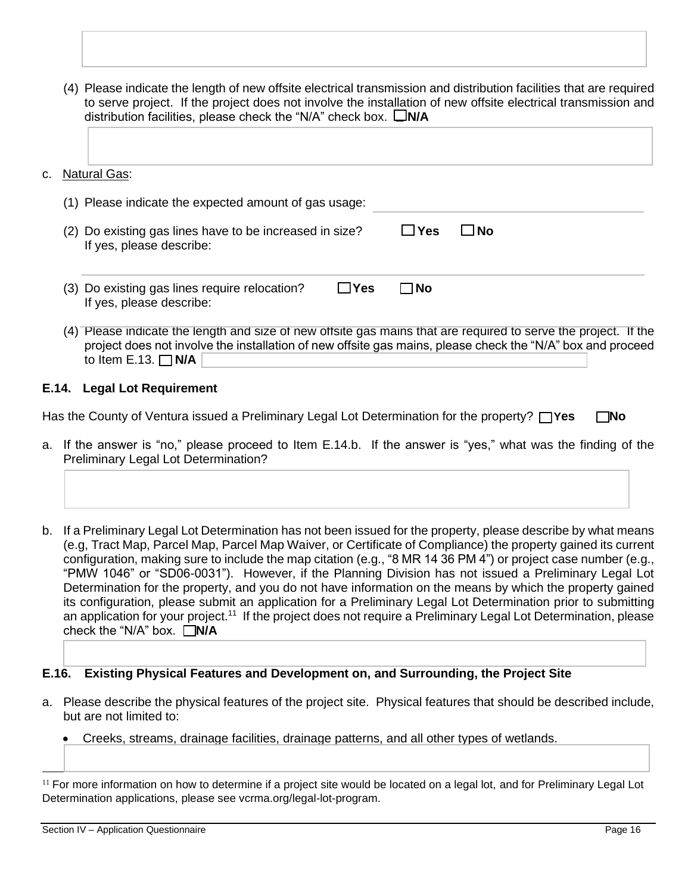- (4) Please indicate the length of new offsite electrical transmission and distribution facilities that are required to serve project. If the project does not involve the installation of new offsite electrical transmission and distribution facilities, please check the "N/A" check box. ❑ **N/A**
- c. Natural Gas: (1) Please indicate the expected amount of gas usage: (2) Do existing gas lines have to be increased in size? ❑ **Yes** ❑ **No**  If yes, please describe: (3) Do existing gas lines require relocation? ❑ **Yes** ❑ **No**  If yes, please describe: (4) Please indicate the length and size of new offsite gas mains that are required to serve the project.If the project does not involve the installation of new offsite gas mains, please check the "N/A" box and proceed to Item E.13.  $\Box$  **N/A**

#### **E.14. Legal Lot Requirement**

Has the County of Ventura issued a Preliminary Legal Lot Determination for the property? ❑ **Yes** ❑ **No**

- a. If the answer is "no," please proceed to Item E.14.b. If the answer is "yes," what was the finding of the Preliminary Legal Lot Determination?
- b. If a Preliminary Legal Lot Determination has not been issued for the property, please describe by what means (e.g, Tract Map, Parcel Map, Parcel Map Waiver, or Certificate of Compliance) the property gained its current configuration, making sure to include the map citation (e.g., "8 MR 14 36 PM 4") or project case number (e.g., "PMW 1046" or "SD06-0031"). However, if the Planning Division has not issued a Preliminary Legal Lot Determination for the property, and you do not have information on the means by which the property gained its configuration, please submit an application for a Preliminary Legal Lot Determination prior to submitting an application for your project.<sup>11</sup> If the project does not require a Preliminary Legal Lot Determination, please check the "N/A" box.  $\Box$ **N/A**

#### **E.16. Existing Physical Features and Development on, and Surrounding, the Project Site**

- a. Please describe the physical features of the project site. Physical features that should be described include, but are not limited to:
	- Creeks, streams, drainage facilities, drainage patterns, and all other types of wetlands.

 $<sup>11</sup>$  For more information on how to determine if a project site would be located on a legal lot, and for Preliminary Legal Lot</sup> Determination applications, please see vcrma.org/legal-lot-program.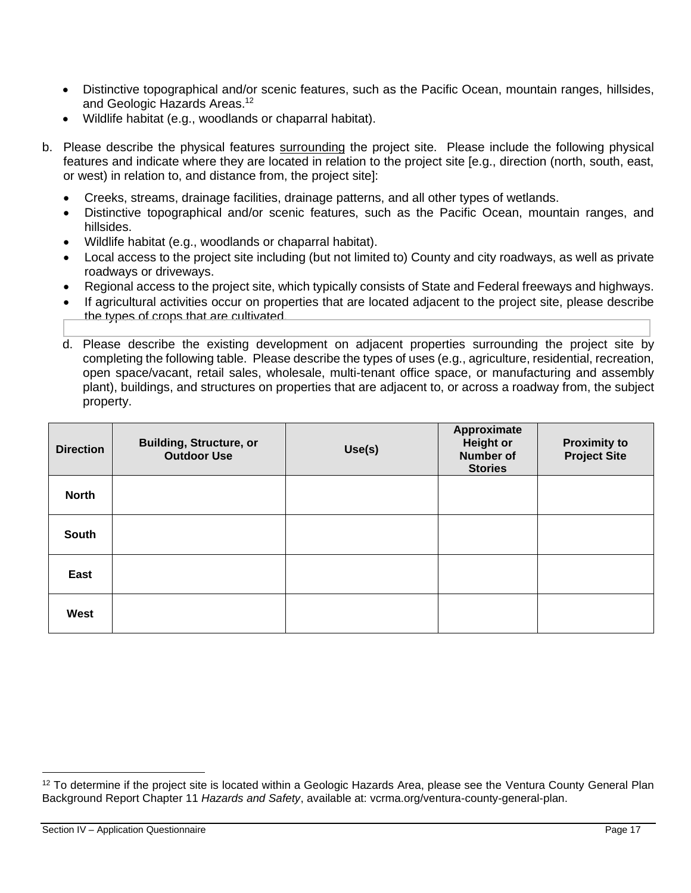- Distinctive topographical and/or scenic features, such as the Pacific Ocean, mountain ranges, hillsides, and Geologic Hazards Areas.<sup>12</sup>
- Wildlife habitat (e.g., woodlands or chaparral habitat).
- b. Please describe the physical features surrounding the project site. Please include the following physical features and indicate where they are located in relation to the project site [e.g., direction (north, south, east, or west) in relation to, and distance from, the project site]:
	- Creeks, streams, drainage facilities, drainage patterns, and all other types of wetlands.
	- Distinctive topographical and/or scenic features, such as the Pacific Ocean, mountain ranges, and hillsides.
	- Wildlife habitat (e.g., woodlands or chaparral habitat).
	- Local access to the project site including (but not limited to) County and city roadways, as well as private roadways or driveways.
	- Regional access to the project site, which typically consists of State and Federal freeways and highways.
	- If agricultural activities occur on properties that are located adjacent to the project site, please describe the types of crops that are cultivated.
	- d. Please describe the existing development on adjacent properties surrounding the project site by completing the following table. Please describe the types of uses (e.g., agriculture, residential, recreation, open space/vacant, retail sales, wholesale, multi-tenant office space, or manufacturing and assembly plant), buildings, and structures on properties that are adjacent to, or across a roadway from, the subject property.

| <b>Direction</b> | <b>Building, Structure, or</b><br><b>Outdoor Use</b> | Use(s) | Approximate<br><b>Height or</b><br><b>Number of</b><br><b>Stories</b> | <b>Proximity to</b><br><b>Project Site</b> |
|------------------|------------------------------------------------------|--------|-----------------------------------------------------------------------|--------------------------------------------|
| <b>North</b>     |                                                      |        |                                                                       |                                            |
| South            |                                                      |        |                                                                       |                                            |
| East             |                                                      |        |                                                                       |                                            |
| West             |                                                      |        |                                                                       |                                            |

<sup>&</sup>lt;sup>12</sup> To determine if the project site is located within a Geologic Hazards Area, please see the Ventura County General Plan Background Report Chapter 11 *Hazards and Safety*, available at: vcrma.org/ventura-county-general-plan.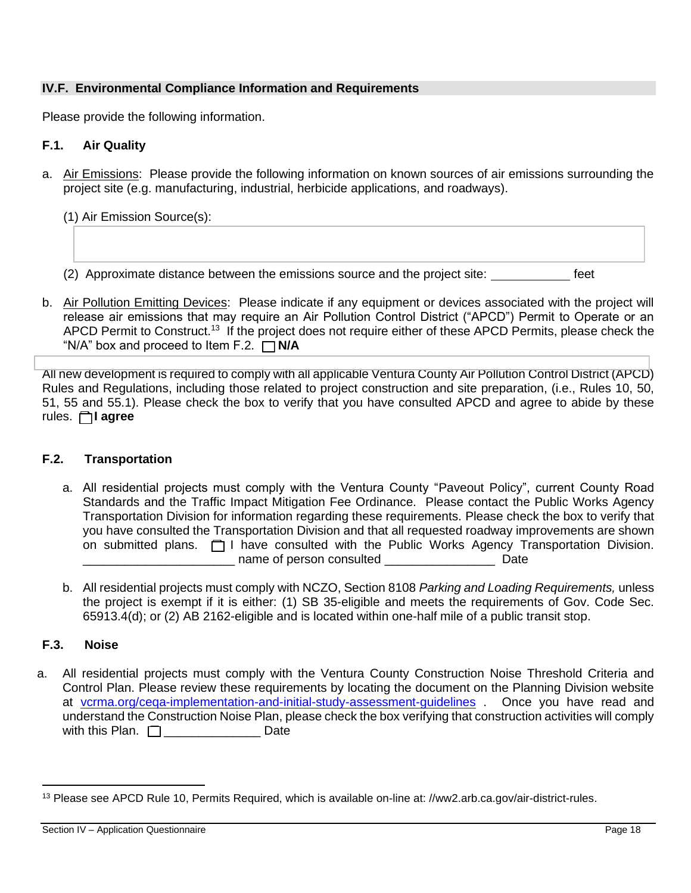### **IV.F. Environmental Compliance Information and Requirements**

Please provide the following information.

#### **F.1. Air Quality**

a. Air Emissions: Please provide the following information on known sources of air emissions surrounding the project site (e.g. manufacturing, industrial, herbicide applications, and roadways).

(1) Air Emission Source(s):

(2) Approximate distance between the emissions source and the project site: feet

b. Air Pollution Emitting Devices:Please indicate if any equipment or devices associated with the project will release air emissions that may require an Air Pollution Control District ("APCD") Permit to Operate or an APCD Permit to Construct.<sup>13</sup> If the project does not require either of these APCD Permits, please check the " $N/A$ " box and proceed to Item F.2.  $\Box$  **N/A** 

All new development is required to comply with all applicable Ventura County Air Pollution Control District (APCD) Rules and Regulations, including those related to project construction and site preparation, (i.e., Rules 10, 50, 51, 55 and 55.1). Please check the box to verify that you have consulted APCD and agree to abide by these rules. ❑ **I agree**

### **F.2. Transportation**

- a. All residential projects must comply with the Ventura County "Paveout Policy", current County Road Standards and the Traffic Impact Mitigation Fee Ordinance. Please contact the Public Works Agency Transportation Division for information regarding these requirements. Please check the box to verify that you have consulted the Transportation Division and that all requested roadway improvements are shown on submitted plans. ❑ I have consulted with the Public Works Agency Transportation Division. name of person consulted **Example 20** Date
- b. All residential projects must comply with NCZO, Section 8108 *Parking and Loading Requirements,* unless the project is exempt if it is either: (1) SB 35-eligible and meets the requirements of Gov. Code Sec. 65913.4(d); or (2) AB 2162-eligible and is located within one-half mile of a public transit stop.

### **F.3. Noise**

a. All residential projects must comply with the Ventura County Construction Noise Threshold Criteria and Control Plan. Please review these requirements by locating the document on the Planning Division website at [vcrma.org/ceqa-implementation-and-initial-study-assessment-guidelines](https://vcrma.org/ceqa-implementation-and-initial-study-assessment-guidelines) . Once you have read and understand the Construction Noise Plan, please check the box verifying that construction activities will comply with this Plan.  $\Box$ 

<sup>13</sup> Please see APCD Rule 10, Permits Required, which is available on-line at: //ww2.arb.ca.gov/air-district-rules.